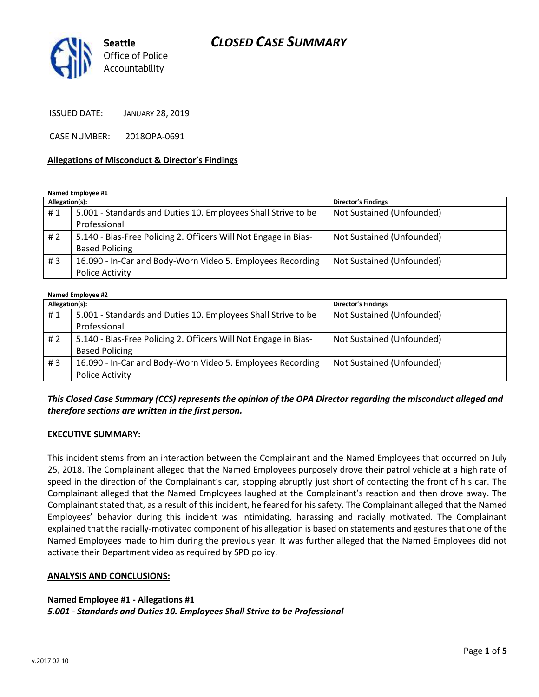

ISSUED DATE: JANUARY 28, 2019

CASE NUMBER: 2018OPA-0691

#### **Allegations of Misconduct & Director's Findings**

**Named Employee #1**

| Allegation(s): |                                                                 | Director's Findings       |
|----------------|-----------------------------------------------------------------|---------------------------|
| #1             | 5.001 - Standards and Duties 10. Employees Shall Strive to be   | Not Sustained (Unfounded) |
|                | Professional                                                    |                           |
| #2             | 5.140 - Bias-Free Policing 2. Officers Will Not Engage in Bias- | Not Sustained (Unfounded) |
|                | <b>Based Policing</b>                                           |                           |
| #3             | 16.090 - In-Car and Body-Worn Video 5. Employees Recording      | Not Sustained (Unfounded) |
|                | <b>Police Activity</b>                                          |                           |

#### **Named Employee #2 Allegation(s): Director's Findings** # 1 | 5.001 - Standards and Duties 10. Employees Shall Strive to be Professional Not Sustained (Unfounded) # 2 | 5.140 - Bias-Free Policing 2. Officers Will Not Engage in Bias-Based Policing Not Sustained (Unfounded) # 3 | 16.090 - In-Car and Body-Worn Video 5. Employees Recording Police Activity Not Sustained (Unfounded)

### *This Closed Case Summary (CCS) represents the opinion of the OPA Director regarding the misconduct alleged and therefore sections are written in the first person.*

#### **EXECUTIVE SUMMARY:**

This incident stems from an interaction between the Complainant and the Named Employees that occurred on July 25, 2018. The Complainant alleged that the Named Employees purposely drove their patrol vehicle at a high rate of speed in the direction of the Complainant's car, stopping abruptly just short of contacting the front of his car. The Complainant alleged that the Named Employees laughed at the Complainant's reaction and then drove away. The Complainant stated that, as a result of this incident, he feared for his safety. The Complainant alleged that the Named Employees' behavior during this incident was intimidating, harassing and racially motivated. The Complainant explained that the racially-motivated component of his allegation is based on statements and gestures that one of the Named Employees made to him during the previous year. It was further alleged that the Named Employees did not activate their Department video as required by SPD policy.

#### **ANALYSIS AND CONCLUSIONS:**

### **Named Employee #1 - Allegations #1** *5.001 - Standards and Duties 10. Employees Shall Strive to be Professional*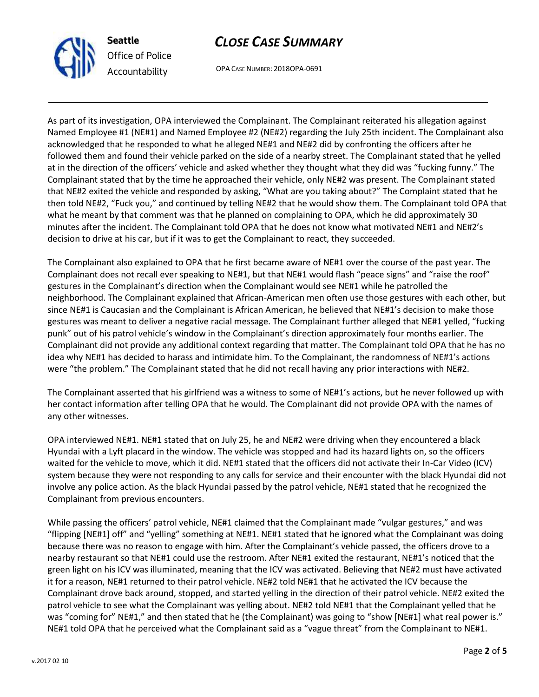

OPA CASE NUMBER: 2018OPA-0691

As part of its investigation, OPA interviewed the Complainant. The Complainant reiterated his allegation against Named Employee #1 (NE#1) and Named Employee #2 (NE#2) regarding the July 25th incident. The Complainant also acknowledged that he responded to what he alleged NE#1 and NE#2 did by confronting the officers after he followed them and found their vehicle parked on the side of a nearby street. The Complainant stated that he yelled at in the direction of the officers' vehicle and asked whether they thought what they did was "fucking funny." The Complainant stated that by the time he approached their vehicle, only NE#2 was present. The Complainant stated that NE#2 exited the vehicle and responded by asking, "What are you taking about?" The Complaint stated that he then told NE#2, "Fuck you," and continued by telling NE#2 that he would show them. The Complainant told OPA that what he meant by that comment was that he planned on complaining to OPA, which he did approximately 30 minutes after the incident. The Complainant told OPA that he does not know what motivated NE#1 and NE#2's decision to drive at his car, but if it was to get the Complainant to react, they succeeded.

The Complainant also explained to OPA that he first became aware of NE#1 over the course of the past year. The Complainant does not recall ever speaking to NE#1, but that NE#1 would flash "peace signs" and "raise the roof" gestures in the Complainant's direction when the Complainant would see NE#1 while he patrolled the neighborhood. The Complainant explained that African-American men often use those gestures with each other, but since NE#1 is Caucasian and the Complainant is African American, he believed that NE#1's decision to make those gestures was meant to deliver a negative racial message. The Complainant further alleged that NE#1 yelled, "fucking punk" out of his patrol vehicle's window in the Complainant's direction approximately four months earlier. The Complainant did not provide any additional context regarding that matter. The Complainant told OPA that he has no idea why NE#1 has decided to harass and intimidate him. To the Complainant, the randomness of NE#1's actions were "the problem." The Complainant stated that he did not recall having any prior interactions with NE#2.

The Complainant asserted that his girlfriend was a witness to some of NE#1's actions, but he never followed up with her contact information after telling OPA that he would. The Complainant did not provide OPA with the names of any other witnesses.

OPA interviewed NE#1. NE#1 stated that on July 25, he and NE#2 were driving when they encountered a black Hyundai with a Lyft placard in the window. The vehicle was stopped and had its hazard lights on, so the officers waited for the vehicle to move, which it did. NE#1 stated that the officers did not activate their In-Car Video (ICV) system because they were not responding to any calls for service and their encounter with the black Hyundai did not involve any police action. As the black Hyundai passed by the patrol vehicle, NE#1 stated that he recognized the Complainant from previous encounters.

While passing the officers' patrol vehicle, NE#1 claimed that the Complainant made "vulgar gestures," and was "flipping [NE#1] off" and "yelling" something at NE#1. NE#1 stated that he ignored what the Complainant was doing because there was no reason to engage with him. After the Complainant's vehicle passed, the officers drove to a nearby restaurant so that NE#1 could use the restroom. After NE#1 exited the restaurant, NE#1's noticed that the green light on his ICV was illuminated, meaning that the ICV was activated. Believing that NE#2 must have activated it for a reason, NE#1 returned to their patrol vehicle. NE#2 told NE#1 that he activated the ICV because the Complainant drove back around, stopped, and started yelling in the direction of their patrol vehicle. NE#2 exited the patrol vehicle to see what the Complainant was yelling about. NE#2 told NE#1 that the Complainant yelled that he was "coming for" NE#1," and then stated that he (the Complainant) was going to "show [NE#1] what real power is." NE#1 told OPA that he perceived what the Complainant said as a "vague threat" from the Complainant to NE#1.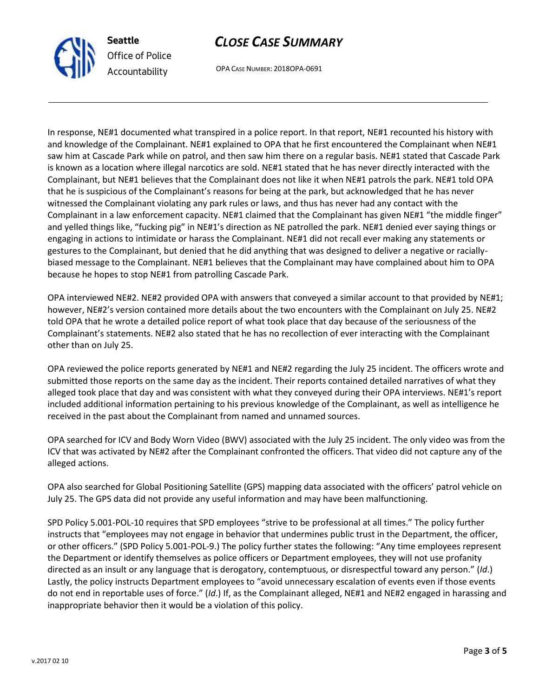

OPA CASE NUMBER: 2018OPA-0691

In response, NE#1 documented what transpired in a police report. In that report, NE#1 recounted his history with and knowledge of the Complainant. NE#1 explained to OPA that he first encountered the Complainant when NE#1 saw him at Cascade Park while on patrol, and then saw him there on a regular basis. NE#1 stated that Cascade Park is known as a location where illegal narcotics are sold. NE#1 stated that he has never directly interacted with the Complainant, but NE#1 believes that the Complainant does not like it when NE#1 patrols the park. NE#1 told OPA that he is suspicious of the Complainant's reasons for being at the park, but acknowledged that he has never witnessed the Complainant violating any park rules or laws, and thus has never had any contact with the Complainant in a law enforcement capacity. NE#1 claimed that the Complainant has given NE#1 "the middle finger" and yelled things like, "fucking pig" in NE#1's direction as NE patrolled the park. NE#1 denied ever saying things or engaging in actions to intimidate or harass the Complainant. NE#1 did not recall ever making any statements or gestures to the Complainant, but denied that he did anything that was designed to deliver a negative or raciallybiased message to the Complainant. NE#1 believes that the Complainant may have complained about him to OPA because he hopes to stop NE#1 from patrolling Cascade Park.

OPA interviewed NE#2. NE#2 provided OPA with answers that conveyed a similar account to that provided by NE#1; however, NE#2's version contained more details about the two encounters with the Complainant on July 25. NE#2 told OPA that he wrote a detailed police report of what took place that day because of the seriousness of the Complainant's statements. NE#2 also stated that he has no recollection of ever interacting with the Complainant other than on July 25.

OPA reviewed the police reports generated by NE#1 and NE#2 regarding the July 25 incident. The officers wrote and submitted those reports on the same day as the incident. Their reports contained detailed narratives of what they alleged took place that day and was consistent with what they conveyed during their OPA interviews. NE#1's report included additional information pertaining to his previous knowledge of the Complainant, as well as intelligence he received in the past about the Complainant from named and unnamed sources.

OPA searched for ICV and Body Worn Video (BWV) associated with the July 25 incident. The only video was from the ICV that was activated by NE#2 after the Complainant confronted the officers. That video did not capture any of the alleged actions.

OPA also searched for Global Positioning Satellite (GPS) mapping data associated with the officers' patrol vehicle on July 25. The GPS data did not provide any useful information and may have been malfunctioning.

SPD Policy 5.001-POL-10 requires that SPD employees "strive to be professional at all times." The policy further instructs that "employees may not engage in behavior that undermines public trust in the Department, the officer, or other officers." (SPD Policy 5.001-POL-9.) The policy further states the following: "Any time employees represent the Department or identify themselves as police officers or Department employees, they will not use profanity directed as an insult or any language that is derogatory, contemptuous, or disrespectful toward any person." (*Id*.) Lastly, the policy instructs Department employees to "avoid unnecessary escalation of events even if those events do not end in reportable uses of force." (*Id*.) If, as the Complainant alleged, NE#1 and NE#2 engaged in harassing and inappropriate behavior then it would be a violation of this policy.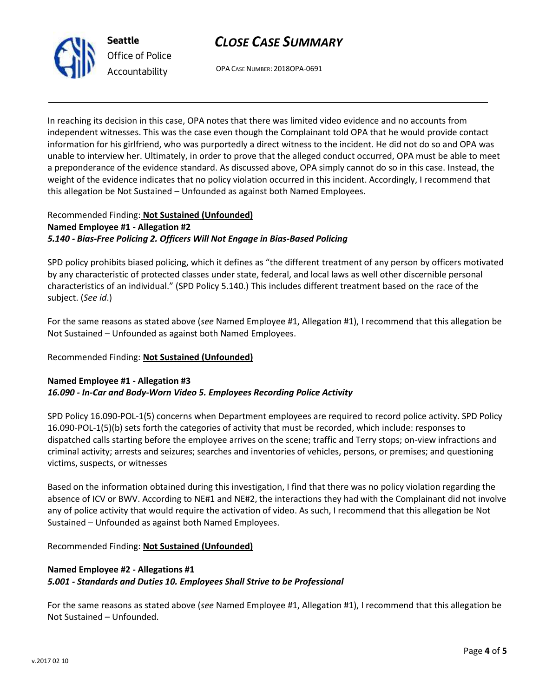

OPA CASE NUMBER: 2018OPA-0691

In reaching its decision in this case, OPA notes that there was limited video evidence and no accounts from independent witnesses. This was the case even though the Complainant told OPA that he would provide contact information for his girlfriend, who was purportedly a direct witness to the incident. He did not do so and OPA was unable to interview her. Ultimately, in order to prove that the alleged conduct occurred, OPA must be able to meet a preponderance of the evidence standard. As discussed above, OPA simply cannot do so in this case. Instead, the weight of the evidence indicates that no policy violation occurred in this incident. Accordingly, I recommend that this allegation be Not Sustained – Unfounded as against both Named Employees.

### Recommended Finding: **Not Sustained (Unfounded) Named Employee #1 - Allegation #2** *5.140 - Bias-Free Policing 2. Officers Will Not Engage in Bias-Based Policing*

SPD policy prohibits biased policing, which it defines as "the different treatment of any person by officers motivated by any characteristic of protected classes under state, federal, and local laws as well other discernible personal characteristics of an individual." (SPD Policy 5.140.) This includes different treatment based on the race of the subject. (*See id*.)

For the same reasons as stated above (*see* Named Employee #1, Allegation #1), I recommend that this allegation be Not Sustained – Unfounded as against both Named Employees.

### Recommended Finding: **Not Sustained (Unfounded)**

### **Named Employee #1 - Allegation #3** *16.090 - In-Car and Body-Worn Video 5. Employees Recording Police Activity*

SPD Policy 16.090-POL-1(5) concerns when Department employees are required to record police activity. SPD Policy 16.090-POL-1(5)(b) sets forth the categories of activity that must be recorded, which include: responses to dispatched calls starting before the employee arrives on the scene; traffic and Terry stops; on-view infractions and criminal activity; arrests and seizures; searches and inventories of vehicles, persons, or premises; and questioning victims, suspects, or witnesses

Based on the information obtained during this investigation, I find that there was no policy violation regarding the absence of ICV or BWV. According to NE#1 and NE#2, the interactions they had with the Complainant did not involve any of police activity that would require the activation of video. As such, I recommend that this allegation be Not Sustained – Unfounded as against both Named Employees.

Recommended Finding: **Not Sustained (Unfounded)**

## **Named Employee #2 - Allegations #1** *5.001 - Standards and Duties 10. Employees Shall Strive to be Professional*

For the same reasons as stated above (*see* Named Employee #1, Allegation #1), I recommend that this allegation be Not Sustained – Unfounded.